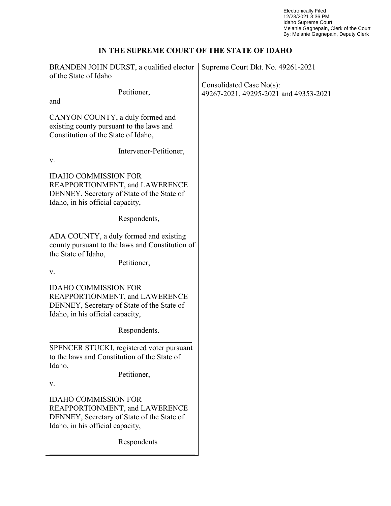Electronically Filed 12/23/2021 3:36 PM Idaho Supreme Court Melanie Gagnepain, Clerk of the Court By: Melanie Gagnepain, Deputy Clerk

## **IN THE SUPREME COURT OF THE STATE OF IDAHO**

| BRANDEN JOHN DURST, a qualified elector                                                                                                         | Supreme Court Dkt. No. 49261-2021                                    |
|-------------------------------------------------------------------------------------------------------------------------------------------------|----------------------------------------------------------------------|
| of the State of Idaho                                                                                                                           |                                                                      |
| Petitioner,                                                                                                                                     | Consolidated Case $No(s)$ :<br>49267-2021, 49295-2021 and 49353-2021 |
| and                                                                                                                                             |                                                                      |
| CANYON COUNTY, a duly formed and<br>existing county pursuant to the laws and<br>Constitution of the State of Idaho,                             |                                                                      |
| Intervenor-Petitioner,<br>V.                                                                                                                    |                                                                      |
| <b>IDAHO COMMISSION FOR</b><br>REAPPORTIONMENT, and LAWERENCE<br>DENNEY, Secretary of State of the State of<br>Idaho, in his official capacity, |                                                                      |
| Respondents,                                                                                                                                    |                                                                      |
| ADA COUNTY, a duly formed and existing<br>county pursuant to the laws and Constitution of<br>the State of Idaho,<br>Petitioner,<br>V.           |                                                                      |
| <b>IDAHO COMMISSION FOR</b><br>REAPPORTIONMENT, and LAWERENCE<br>DENNEY, Secretary of State of the State of<br>Idaho, in his official capacity, |                                                                      |
| Respondents.                                                                                                                                    |                                                                      |
| SPENCER STUCKI, registered voter pursuant<br>to the laws and Constitution of the State of<br>Idaho,                                             |                                                                      |
| Petitioner,<br>V.                                                                                                                               |                                                                      |
| <b>IDAHO COMMISSION FOR</b><br>REAPPORTIONMENT, and LAWERENCE<br>DENNEY, Secretary of State of the State of<br>Idaho, in his official capacity, |                                                                      |
| Respondents                                                                                                                                     |                                                                      |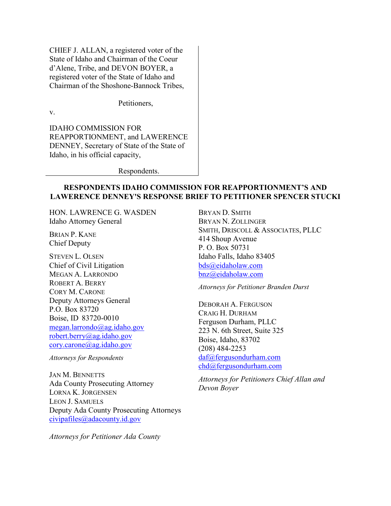CHIEF J. ALLAN, a registered voter of the State of Idaho and Chairman of the Coeur d'Alene, Tribe, and DEVON BOYER, a registered voter of the State of Idaho and Chairman of the Shoshone-Bannock Tribes,

Petitioners,

v.

IDAHO COMMISSION FOR REAPPORTIONMENT, and LAWERENCE DENNEY, Secretary of State of the State of Idaho, in his official capacity,

Respondents.

## **RESPONDENTS IDAHO COMMISSION FOR REAPPORTIONMENT'S AND LAWERENCE DENNEY'S RESPONSE BRIEF TO PETITIONER SPENCER STUCKI**

HON. LAWRENCE G. WASDEN Idaho Attorney General

BRIAN P. KANE Chief Deputy

STEVEN L. OLSEN Chief of Civil Litigation MEGAN A. LARRONDO ROBERT A. BERRY CORY M. CARONE Deputy Attorneys General P.O. Box 83720 Boise, ID 83720-0010 [megan.larrondo@ag.idaho.gov](mailto:megan.larrondo@ag.idaho.gov) [robert.berry@ag.idaho.gov](mailto:robert.berry@ag.idaho.gov) [cory.carone@ag.idaho.gov](mailto:cory.carone@ag.idaho.gov)

*Attorneys for Respondents*

JAN M. BENNETTS Ada County Prosecuting Attorney LORNA K. JORGENSEN LEON J. SAMUELS Deputy Ada County Prosecuting Attorneys [civipafiles@adacounty.id.gov](mailto:civipafiles@adacounty.id.gov)

*Attorneys for Petitioner Ada County*

BRYAN D. SMITH BRYAN N. ZOLLINGER SMITH, DRISCOLL & ASSOCIATES, PLLC 414 Shoup Avenue P. O. Box 50731 Idaho Falls, Idaho 83405 [bds@eidaholaw.com](mailto:bds@eidaholaw.com) bnz@eidaholaw.com

*Attorneys for Petitioner Branden Durst*

DEBORAH A. FERGUSON CRAIG H. DURHAM Ferguson Durham, PLLC 223 N. 6th Street, Suite 325 Boise, Idaho, 83702 (208) 484-2253 [daf@fergusondurham.com](mailto:daf@fergusondurham.com) [chd@fergusondurham.com](mailto:chd@fergusondurham.com)

*Attorneys for Petitioners Chief Allan and Devon Boyer*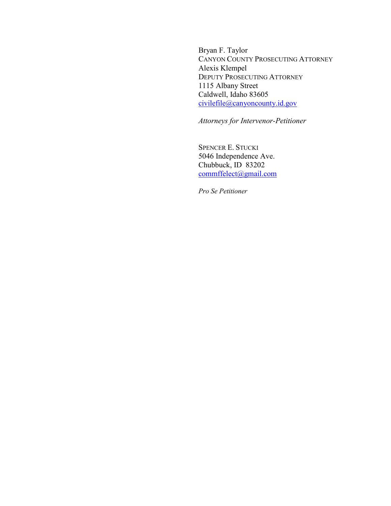Bryan F. Taylor CANYON COUNTY PROSECUTING ATTORNEY Alexis Klempel DEPUTY PROSECUTING ATTORNEY 1115 Albany Street Caldwell, Idaho 83605 [civilefile@canyoncounty.id.gov](mailto:civilefile@canyoncounty.id.gov)

*Attorneys for Intervenor-Petitioner*

SPENCER E. STUCKI 5046 Independence Ave. Chubbuck, ID 83202 [commffelect@gmail.com](mailto:commffelect@gmail.com)

*Pro Se Petitioner*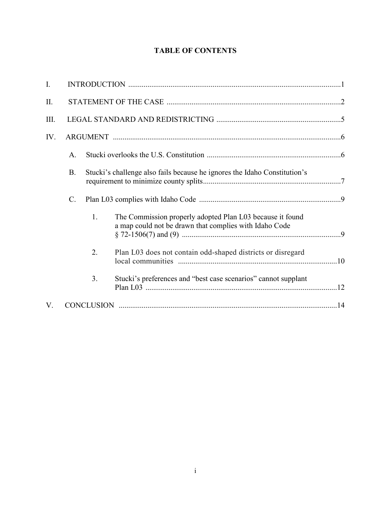## **TABLE OF CONTENTS**

| I.  |           |    |                                                                                                                     |  |
|-----|-----------|----|---------------------------------------------------------------------------------------------------------------------|--|
| II. |           |    |                                                                                                                     |  |
| Ш.  |           |    |                                                                                                                     |  |
| IV. |           |    |                                                                                                                     |  |
|     | A.        |    |                                                                                                                     |  |
|     | <b>B.</b> |    | Stucki's challenge also fails because he ignores the Idaho Constitution's                                           |  |
|     | C.        |    |                                                                                                                     |  |
|     |           | 1. | The Commission properly adopted Plan L03 because it found<br>a map could not be drawn that complies with Idaho Code |  |
|     |           | 2. | Plan L03 does not contain odd-shaped districts or disregard                                                         |  |
|     |           | 3. | Stucki's preferences and "best case scenarios" cannot supplant                                                      |  |
| V.  |           |    |                                                                                                                     |  |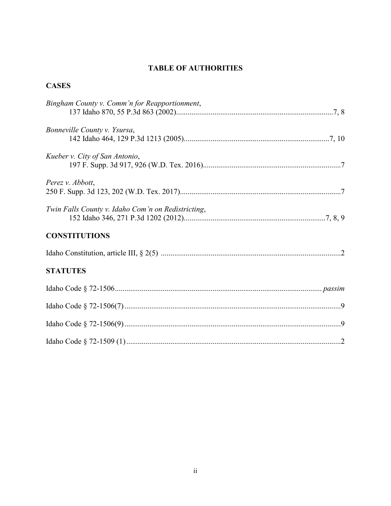# **TABLE OF AUTHORITIES**

# **CASES**

| Bingham County v. Comm'n for Reapportionment,      |
|----------------------------------------------------|
| Bonneville County v. Ysursa,                       |
| Kueber v. City of San Antonio,                     |
| Perez v. Abbott,                                   |
| Twin Falls County v. Idaho Com'n on Redistricting, |
| <b>CONSTITUTIONS</b>                               |
|                                                    |
| <b>STATUTES</b>                                    |
|                                                    |
|                                                    |
|                                                    |
|                                                    |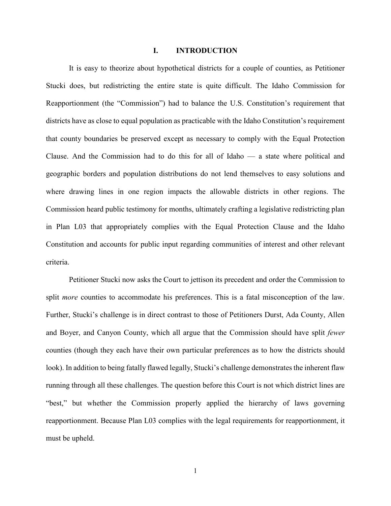#### **I. INTRODUCTION**

It is easy to theorize about hypothetical districts for a couple of counties, as Petitioner Stucki does, but redistricting the entire state is quite difficult. The Idaho Commission for Reapportionment (the "Commission") had to balance the U.S. Constitution's requirement that districts have as close to equal population as practicable with the Idaho Constitution's requirement that county boundaries be preserved except as necessary to comply with the Equal Protection Clause. And the Commission had to do this for all of Idaho — a state where political and geographic borders and population distributions do not lend themselves to easy solutions and where drawing lines in one region impacts the allowable districts in other regions. The Commission heard public testimony for months, ultimately crafting a legislative redistricting plan in Plan L03 that appropriately complies with the Equal Protection Clause and the Idaho Constitution and accounts for public input regarding communities of interest and other relevant criteria.

Petitioner Stucki now asks the Court to jettison its precedent and order the Commission to split *more* counties to accommodate his preferences. This is a fatal misconception of the law. Further, Stucki's challenge is in direct contrast to those of Petitioners Durst, Ada County, Allen and Boyer, and Canyon County, which all argue that the Commission should have split *fewer* counties (though they each have their own particular preferences as to how the districts should look). In addition to being fatally flawed legally, Stucki's challenge demonstrates the inherent flaw running through all these challenges. The question before this Court is not which district lines are "best," but whether the Commission properly applied the hierarchy of laws governing reapportionment. Because Plan L03 complies with the legal requirements for reapportionment, it must be upheld.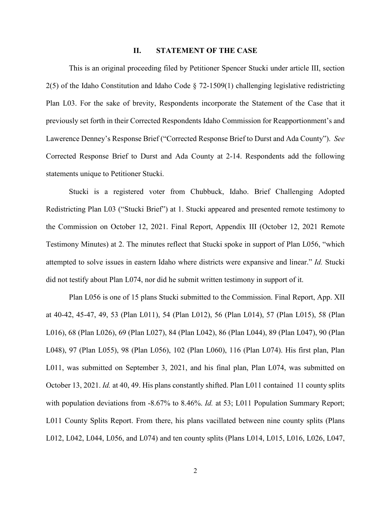#### **II. STATEMENT OF THE CASE**

This is an original proceeding filed by Petitioner Spencer Stucki under article III, section 2(5) of the Idaho Constitution and Idaho Code § 72-1509(1) challenging legislative redistricting Plan L03. For the sake of brevity, Respondents incorporate the Statement of the Case that it previously set forth in their Corrected Respondents Idaho Commission for Reapportionment's and Lawerence Denney's Response Brief ("Corrected Response Brief to Durst and Ada County"). *See* Corrected Response Brief to Durst and Ada County at 2-14. Respondents add the following statements unique to Petitioner Stucki.

Stucki is a registered voter from Chubbuck, Idaho. Brief Challenging Adopted Redistricting Plan L03 ("Stucki Brief") at 1. Stucki appeared and presented remote testimony to the Commission on October 12, 2021. Final Report, Appendix III (October 12, 2021 Remote Testimony Minutes) at 2. The minutes reflect that Stucki spoke in support of Plan L056, "which attempted to solve issues in eastern Idaho where districts were expansive and linear." *Id.* Stucki did not testify about Plan L074, nor did he submit written testimony in support of it.

Plan L056 is one of 15 plans Stucki submitted to the Commission. Final Report, App. XII at 40-42, 45-47, 49, 53 (Plan L011), 54 (Plan L012), 56 (Plan L014), 57 (Plan L015), 58 (Plan L016), 68 (Plan L026), 69 (Plan L027), 84 (Plan L042), 86 (Plan L044), 89 (Plan L047), 90 (Plan L048), 97 (Plan L055), 98 (Plan L056), 102 (Plan L060), 116 (Plan L074). His first plan, Plan L011, was submitted on September 3, 2021, and his final plan, Plan L074, was submitted on October 13, 2021. *Id.* at 40, 49. His plans constantly shifted. Plan L011 contained 11 county splits with population deviations from -8.67% to 8.46%. *Id.* at 53; L011 Population Summary Report; L011 County Splits Report. From there, his plans vacillated between nine county splits (Plans L012, L042, L044, L056, and L074) and ten county splits (Plans L014, L015, L016, L026, L047,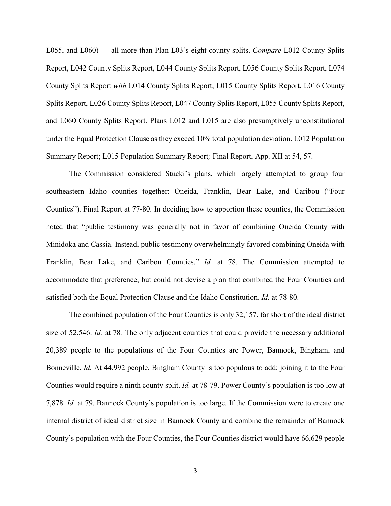L055, and L060) — all more than Plan L03's eight county splits. *Compare* L012 County Splits Report, L042 County Splits Report, L044 County Splits Report, L056 County Splits Report, L074 County Splits Report *with* L014 County Splits Report, L015 County Splits Report, L016 County Splits Report, L026 County Splits Report, L047 County Splits Report, L055 County Splits Report, and L060 County Splits Report. Plans L012 and L015 are also presumptively unconstitutional under the Equal Protection Clause as they exceed 10% total population deviation. L012 Population Summary Report; L015 Population Summary Report*;* Final Report, App. XII at 54, 57.

The Commission considered Stucki's plans, which largely attempted to group four southeastern Idaho counties together: Oneida, Franklin, Bear Lake, and Caribou ("Four Counties"). Final Report at 77-80. In deciding how to apportion these counties, the Commission noted that "public testimony was generally not in favor of combining Oneida County with Minidoka and Cassia. Instead, public testimony overwhelmingly favored combining Oneida with Franklin, Bear Lake, and Caribou Counties." *Id.* at 78. The Commission attempted to accommodate that preference, but could not devise a plan that combined the Four Counties and satisfied both the Equal Protection Clause and the Idaho Constitution. *Id.* at 78-80.

The combined population of the Four Counties is only 32,157, far short of the ideal district size of 52,546. *Id.* at 78*.* The only adjacent counties that could provide the necessary additional 20,389 people to the populations of the Four Counties are Power, Bannock, Bingham, and Bonneville. *Id.* At 44,992 people, Bingham County is too populous to add: joining it to the Four Counties would require a ninth county split. *Id.* at 78-79. Power County's population is too low at 7,878. *Id.* at 79. Bannock County's population is too large. If the Commission were to create one internal district of ideal district size in Bannock County and combine the remainder of Bannock County's population with the Four Counties, the Four Counties district would have 66,629 people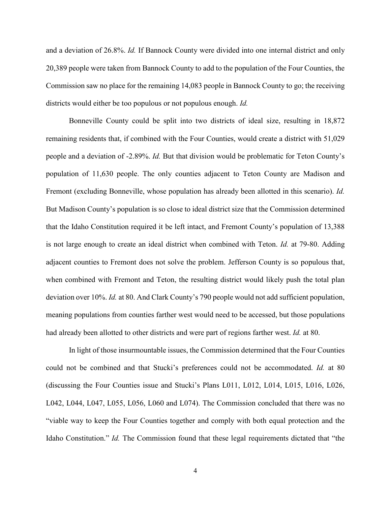and a deviation of 26.8%. *Id.* If Bannock County were divided into one internal district and only 20,389 people were taken from Bannock County to add to the population of the Four Counties, the Commission saw no place for the remaining 14,083 people in Bannock County to go; the receiving districts would either be too populous or not populous enough. *Id.* 

Bonneville County could be split into two districts of ideal size, resulting in 18,872 remaining residents that, if combined with the Four Counties, would create a district with 51,029 people and a deviation of -2.89%. *Id.* But that division would be problematic for Teton County's population of 11,630 people. The only counties adjacent to Teton County are Madison and Fremont (excluding Bonneville, whose population has already been allotted in this scenario). *Id.*  But Madison County's population is so close to ideal district size that the Commission determined that the Idaho Constitution required it be left intact, and Fremont County's population of 13,388 is not large enough to create an ideal district when combined with Teton. *Id.* at 79-80. Adding adjacent counties to Fremont does not solve the problem. Jefferson County is so populous that, when combined with Fremont and Teton, the resulting district would likely push the total plan deviation over 10%. *Id.* at 80. And Clark County's 790 people would not add sufficient population, meaning populations from counties farther west would need to be accessed, but those populations had already been allotted to other districts and were part of regions farther west. *Id.* at 80.

In light of those insurmountable issues, the Commission determined that the Four Counties could not be combined and that Stucki's preferences could not be accommodated. *Id.* at 80 (discussing the Four Counties issue and Stucki's Plans L011, L012, L014, L015, L016, L026, L042, L044, L047, L055, L056, L060 and L074). The Commission concluded that there was no "viable way to keep the Four Counties together and comply with both equal protection and the Idaho Constitution." *Id.* The Commission found that these legal requirements dictated that "the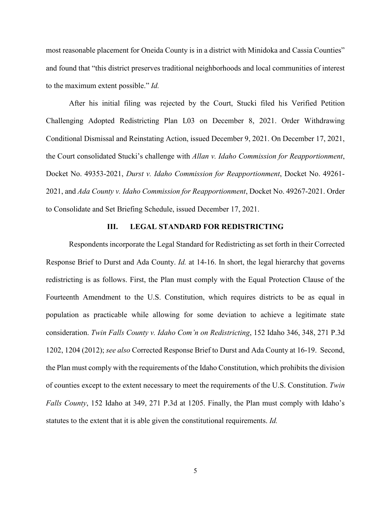most reasonable placement for Oneida County is in a district with Minidoka and Cassia Counties" and found that "this district preserves traditional neighborhoods and local communities of interest to the maximum extent possible." *Id.*

After his initial filing was rejected by the Court, Stucki filed his Verified Petition Challenging Adopted Redistricting Plan L03 on December 8, 2021. Order Withdrawing Conditional Dismissal and Reinstating Action, issued December 9, 2021. On December 17, 2021, the Court consolidated Stucki's challenge with *Allan v. Idaho Commission for Reapportionment*, Docket No. 49353-2021, *Durst v. Idaho Commission for Reapportionment*, Docket No. 49261- 2021, and *Ada County v. Idaho Commission for Reapportionment*, Docket No. 49267-2021. Order to Consolidate and Set Briefing Schedule, issued December 17, 2021.

#### **III. LEGAL STANDARD FOR REDISTRICTING**

Respondents incorporate the Legal Standard for Redistricting as set forth in their Corrected Response Brief to Durst and Ada County. *Id.* at 14-16. In short, the legal hierarchy that governs redistricting is as follows. First, the Plan must comply with the Equal Protection Clause of the Fourteenth Amendment to the U.S. Constitution, which requires districts to be as equal in population as practicable while allowing for some deviation to achieve a legitimate state consideration. *Twin Falls County v. Idaho Com'n on Redistricting*, 152 Idaho 346, 348, 271 P.3d 1202, 1204 (2012); *see also* Corrected Response Brief to Durst and Ada County at 16-19. Second, the Plan must comply with the requirements of the Idaho Constitution, which prohibits the division of counties except to the extent necessary to meet the requirements of the U.S. Constitution. *Twin Falls County*, 152 Idaho at 349, 271 P.3d at 1205. Finally, the Plan must comply with Idaho's statutes to the extent that it is able given the constitutional requirements. *Id.*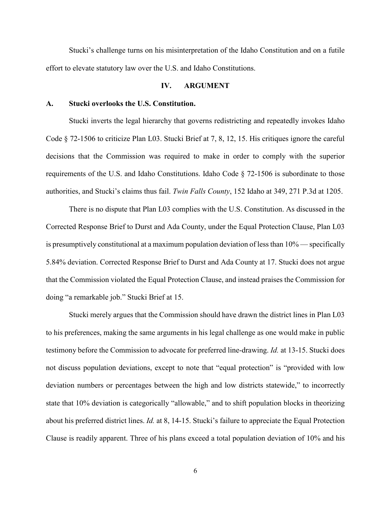Stucki's challenge turns on his misinterpretation of the Idaho Constitution and on a futile effort to elevate statutory law over the U.S. and Idaho Constitutions.

#### **IV. ARGUMENT**

#### **A. Stucki overlooks the U.S. Constitution.**

Stucki inverts the legal hierarchy that governs redistricting and repeatedly invokes Idaho Code § 72-1506 to criticize Plan L03. Stucki Brief at 7, 8, 12, 15. His critiques ignore the careful decisions that the Commission was required to make in order to comply with the superior requirements of the U.S. and Idaho Constitutions. Idaho Code § 72-1506 is subordinate to those authorities, and Stucki's claims thus fail. *Twin Falls County*, 152 Idaho at 349, 271 P.3d at 1205.

There is no dispute that Plan L03 complies with the U.S. Constitution. As discussed in the Corrected Response Brief to Durst and Ada County, under the Equal Protection Clause, Plan L03 is presumptively constitutional at a maximum population deviation of less than 10% — specifically 5.84% deviation. Corrected Response Brief to Durst and Ada County at 17. Stucki does not argue that the Commission violated the Equal Protection Clause, and instead praises the Commission for doing "a remarkable job." Stucki Brief at 15.

Stucki merely argues that the Commission should have drawn the district lines in Plan L03 to his preferences, making the same arguments in his legal challenge as one would make in public testimony before the Commission to advocate for preferred line-drawing. *Id.* at 13-15. Stucki does not discuss population deviations, except to note that "equal protection" is "provided with low deviation numbers or percentages between the high and low districts statewide," to incorrectly state that 10% deviation is categorically "allowable," and to shift population blocks in theorizing about his preferred district lines. *Id.* at 8, 14-15. Stucki's failure to appreciate the Equal Protection Clause is readily apparent. Three of his plans exceed a total population deviation of 10% and his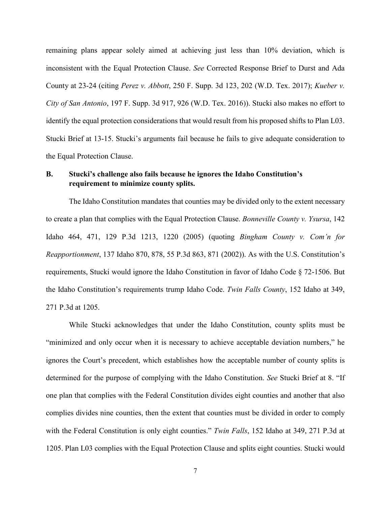remaining plans appear solely aimed at achieving just less than 10% deviation, which is inconsistent with the Equal Protection Clause. *See* Corrected Response Brief to Durst and Ada County at 23-24 (citing *Perez v. Abbott*, 250 F. Supp. 3d 123, 202 (W.D. Tex. 2017); *Kueber v. City of San Antonio*, 197 F. Supp. 3d 917, 926 (W.D. Tex. 2016)). Stucki also makes no effort to identify the equal protection considerations that would result from his proposed shifts to Plan L03. Stucki Brief at 13-15. Stucki's arguments fail because he fails to give adequate consideration to the Equal Protection Clause.

## **B. Stucki's challenge also fails because he ignores the Idaho Constitution's requirement to minimize county splits.**

The Idaho Constitution mandates that counties may be divided only to the extent necessary to create a plan that complies with the Equal Protection Clause. *Bonneville County v. Ysursa*, 142 Idaho 464, 471, 129 P.3d 1213, 1220 (2005) (quoting *Bingham County v. Com'n for Reapportionment*, 137 Idaho 870, 878, 55 P.3d 863, 871 (2002)). As with the U.S. Constitution's requirements, Stucki would ignore the Idaho Constitution in favor of Idaho Code § 72-1506. But the Idaho Constitution's requirements trump Idaho Code. *Twin Falls County*, 152 Idaho at 349, 271 P.3d at 1205.

While Stucki acknowledges that under the Idaho Constitution, county splits must be "minimized and only occur when it is necessary to achieve acceptable deviation numbers," he ignores the Court's precedent, which establishes how the acceptable number of county splits is determined for the purpose of complying with the Idaho Constitution. *See* Stucki Brief at 8. "If one plan that complies with the Federal Constitution divides eight counties and another that also complies divides nine counties, then the extent that counties must be divided in order to comply with the Federal Constitution is only eight counties." *Twin Falls*, 152 Idaho at 349, 271 P.3d at 1205. Plan L03 complies with the Equal Protection Clause and splits eight counties. Stucki would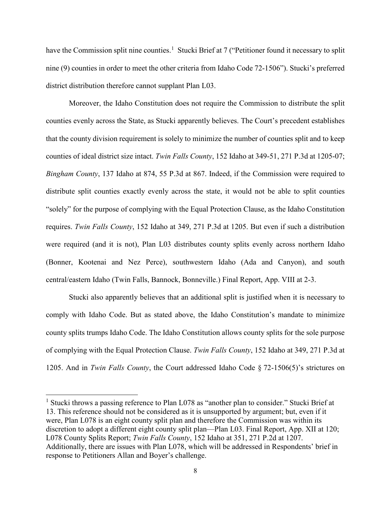have the Commission split nine counties.<sup>[1](#page-12-0)</sup> Stucki Brief at 7 ("Petitioner found it necessary to split nine (9) counties in order to meet the other criteria from Idaho Code 72-1506"). Stucki's preferred district distribution therefore cannot supplant Plan L03.

Moreover, the Idaho Constitution does not require the Commission to distribute the split counties evenly across the State, as Stucki apparently believes. The Court's precedent establishes that the county division requirement is solely to minimize the number of counties split and to keep counties of ideal district size intact. *Twin Falls County*, 152 Idaho at 349-51, 271 P.3d at 1205-07; *Bingham County*, 137 Idaho at 874, 55 P.3d at 867. Indeed, if the Commission were required to distribute split counties exactly evenly across the state, it would not be able to split counties "solely" for the purpose of complying with the Equal Protection Clause, as the Idaho Constitution requires. *Twin Falls County*, 152 Idaho at 349, 271 P.3d at 1205. But even if such a distribution were required (and it is not), Plan L03 distributes county splits evenly across northern Idaho (Bonner, Kootenai and Nez Perce), southwestern Idaho (Ada and Canyon), and south central/eastern Idaho (Twin Falls, Bannock, Bonneville.) Final Report, App. VIII at 2-3.

Stucki also apparently believes that an additional split is justified when it is necessary to comply with Idaho Code. But as stated above, the Idaho Constitution's mandate to minimize county splits trumps Idaho Code. The Idaho Constitution allows county splits for the sole purpose of complying with the Equal Protection Clause. *Twin Falls County*, 152 Idaho at 349, 271 P.3d at 1205. And in *Twin Falls County*, the Court addressed Idaho Code § 72-1506(5)'s strictures on

<span id="page-12-0"></span><sup>&</sup>lt;sup>1</sup> Stucki throws a passing reference to Plan L078 as "another plan to consider." Stucki Brief at 13. This reference should not be considered as it is unsupported by argument; but, even if it were, Plan L078 is an eight county split plan and therefore the Commission was within its discretion to adopt a different eight county split plan—Plan L03. Final Report, App. XII at 120; L078 County Splits Report; *Twin Falls County*, 152 Idaho at 351, 271 P.2d at 1207. Additionally, there are issues with Plan L078, which will be addressed in Respondents' brief in response to Petitioners Allan and Boyer's challenge.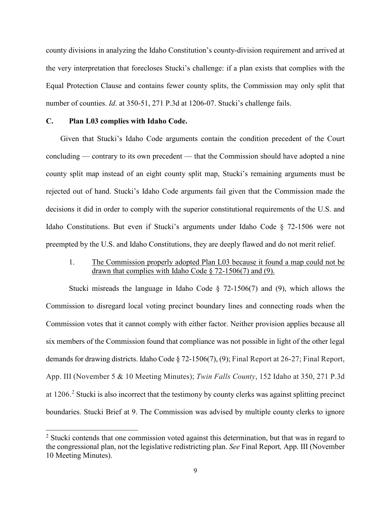county divisions in analyzing the Idaho Constitution's county-division requirement and arrived at the very interpretation that forecloses Stucki's challenge: if a plan exists that complies with the Equal Protection Clause and contains fewer county splits, the Commission may only split that number of counties. *Id*. at 350-51, 271 P.3d at 1206-07. Stucki's challenge fails.

#### **C. Plan L03 complies with Idaho Code.**

Given that Stucki's Idaho Code arguments contain the condition precedent of the Court concluding — contrary to its own precedent — that the Commission should have adopted a nine county split map instead of an eight county split map, Stucki's remaining arguments must be rejected out of hand. Stucki's Idaho Code arguments fail given that the Commission made the decisions it did in order to comply with the superior constitutional requirements of the U.S. and Idaho Constitutions. But even if Stucki's arguments under Idaho Code § 72-1506 were not preempted by the U.S. and Idaho Constitutions, they are deeply flawed and do not merit relief.

### 1. The Commission properly adopted Plan L03 because it found a map could not be drawn that complies with Idaho Code  $\S$  72-1506(7) and (9).

Stucki misreads the language in Idaho Code  $\S$  72-1506(7) and (9), which allows the Commission to disregard local voting precinct boundary lines and connecting roads when the Commission votes that it cannot comply with either factor. Neither provision applies because all six members of the Commission found that compliance was not possible in light of the other legal demands for drawing districts. Idaho Code § 72-1506(7), (9); Final Report at 26-27; Final Report, App. III (November 5 & 10 Meeting Minutes); *Twin Falls County*, 152 Idaho at 350, 271 P.3d at 1[2](#page-13-0)06.<sup>2</sup> Stucki is also incorrect that the testimony by county clerks was against splitting precinct boundaries. Stucki Brief at 9. The Commission was advised by multiple county clerks to ignore

<span id="page-13-0"></span><sup>&</sup>lt;sup>2</sup> Stucki contends that one commission voted against this determination, but that was in regard to the congressional plan, not the legislative redistricting plan. *See* Final Report*,* App. III (November 10 Meeting Minutes).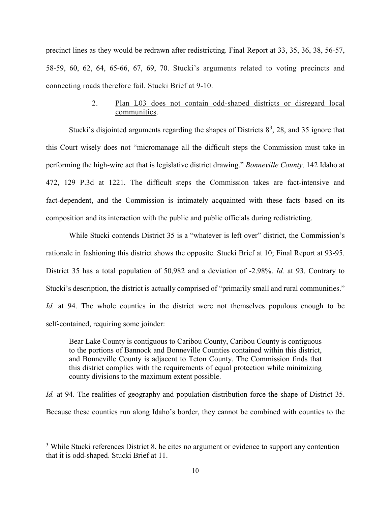precinct lines as they would be redrawn after redistricting. Final Report at 33, 35, 36, 38, 56-57, 58-59, 60, 62, 64, 65-66, 67, 69, 70. Stucki's arguments related to voting precincts and connecting roads therefore fail. Stucki Brief at 9-10.

## 2. Plan L03 does not contain odd-shaped districts or disregard local communities.

Stucki's disjointed arguments regarding the shapes of Districts  $8^3$  $8^3$ , 28, and 35 ignore that this Court wisely does not "micromanage all the difficult steps the Commission must take in performing the high-wire act that is legislative district drawing." *Bonneville County,* 142 Idaho at 472, 129 P.3d at 1221. The difficult steps the Commission takes are fact-intensive and fact-dependent, and the Commission is intimately acquainted with these facts based on its composition and its interaction with the public and public officials during redistricting.

While Stucki contends District 35 is a "whatever is left over" district, the Commission's rationale in fashioning this district shows the opposite. Stucki Brief at 10; Final Report at 93-95. District 35 has a total population of 50,982 and a deviation of -2.98%. *Id.* at 93. Contrary to Stucki's description, the district is actually comprised of "primarily small and rural communities." *Id.* at 94. The whole counties in the district were not themselves populous enough to be self-contained, requiring some joinder:

Bear Lake County is contiguous to Caribou County, Caribou County is contiguous to the portions of Bannock and Bonneville Counties contained within this district, and Bonneville County is adjacent to Teton County. The Commission finds that this district complies with the requirements of equal protection while minimizing county divisions to the maximum extent possible.

*Id.* at 94. The realities of geography and population distribution force the shape of District 35. Because these counties run along Idaho's border, they cannot be combined with counties to the

<span id="page-14-0"></span><sup>&</sup>lt;sup>3</sup> While Stucki references District 8, he cites no argument or evidence to support any contention that it is odd-shaped. Stucki Brief at 11.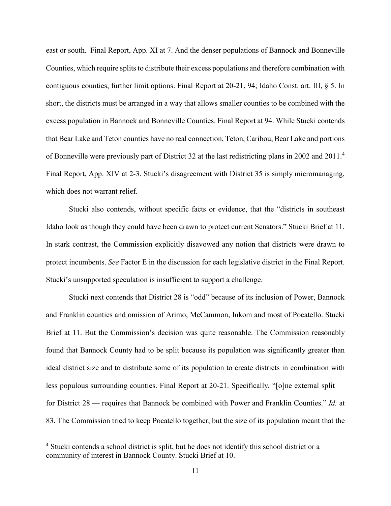east or south. Final Report, App. XI at 7. And the denser populations of Bannock and Bonneville Counties, which require splits to distribute their excess populations and therefore combination with contiguous counties, further limit options. Final Report at 20-21, 94; Idaho Const. art. III, § 5. In short, the districts must be arranged in a way that allows smaller counties to be combined with the excess population in Bannock and Bonneville Counties. Final Report at 94. While Stucki contends that Bear Lake and Teton counties have no real connection, Teton, Caribou, Bear Lake and portions of Bonneville were previously part of District 32 at the last redistricting plans in 2002 and 2011.[4](#page-15-0) Final Report, App. XIV at 2-3. Stucki's disagreement with District 35 is simply micromanaging, which does not warrant relief.

Stucki also contends, without specific facts or evidence, that the "districts in southeast Idaho look as though they could have been drawn to protect current Senators." Stucki Brief at 11. In stark contrast, the Commission explicitly disavowed any notion that districts were drawn to protect incumbents. *See* Factor E in the discussion for each legislative district in the Final Report. Stucki's unsupported speculation is insufficient to support a challenge.

Stucki next contends that District 28 is "odd" because of its inclusion of Power, Bannock and Franklin counties and omission of Arimo, McCammon, Inkom and most of Pocatello. Stucki Brief at 11. But the Commission's decision was quite reasonable. The Commission reasonably found that Bannock County had to be split because its population was significantly greater than ideal district size and to distribute some of its population to create districts in combination with less populous surrounding counties. Final Report at 20-21. Specifically, "[o]ne external split for District 28 — requires that Bannock be combined with Power and Franklin Counties." *Id.* at 83. The Commission tried to keep Pocatello together, but the size of its population meant that the

<span id="page-15-0"></span><sup>&</sup>lt;sup>4</sup> Stucki contends a school district is split, but he does not identify this school district or a community of interest in Bannock County. Stucki Brief at 10.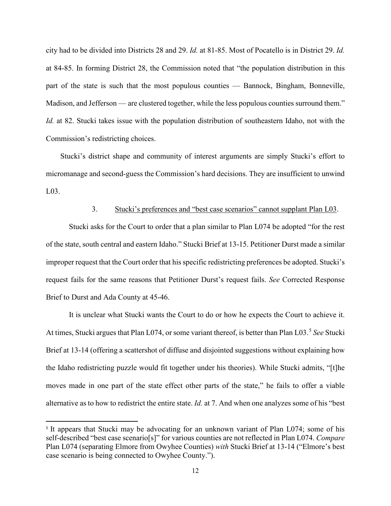city had to be divided into Districts 28 and 29. *Id.* at 81-85. Most of Pocatello is in District 29. *Id.* at 84-85. In forming District 28, the Commission noted that "the population distribution in this part of the state is such that the most populous counties — Bannock, Bingham, Bonneville, Madison, and Jefferson — are clustered together, while the less populous counties surround them." *Id.* at 82. Stucki takes issue with the population distribution of southeastern Idaho, not with the Commission's redistricting choices.

Stucki's district shape and community of interest arguments are simply Stucki's effort to micromanage and second-guess the Commission's hard decisions. They are insufficient to unwind L03.

### 3. Stucki's preferences and "best case scenarios" cannot supplant Plan L03.

Stucki asks for the Court to order that a plan similar to Plan L074 be adopted "for the rest of the state, south central and eastern Idaho." Stucki Brief at 13-15. Petitioner Durst made a similar improper request that the Court order that his specific redistricting preferences be adopted. Stucki's request fails for the same reasons that Petitioner Durst's request fails. *See* Corrected Response Brief to Durst and Ada County at 45-46.

It is unclear what Stucki wants the Court to do or how he expects the Court to achieve it. At times, Stucki argues that Plan L074, or some variant thereof, is better than Plan L03.[5](#page-16-0) *See* Stucki Brief at 13-14 (offering a scattershot of diffuse and disjointed suggestions without explaining how the Idaho redistricting puzzle would fit together under his theories). While Stucki admits, "[t]he moves made in one part of the state effect other parts of the state," he fails to offer a viable alternative as to how to redistrict the entire state. *Id.* at 7. And when one analyzes some of his "best

 $\overline{a}$ 

<span id="page-16-0"></span><sup>&</sup>lt;sup>5</sup> It appears that Stucki may be advocating for an unknown variant of Plan L074; some of his self-described "best case scenario[s]" for various counties are not reflected in Plan L074. *Compare* Plan L074 (separating Elmore from Owyhee Counties) *with* Stucki Brief at 13-14 ("Elmore's best case scenario is being connected to Owyhee County.").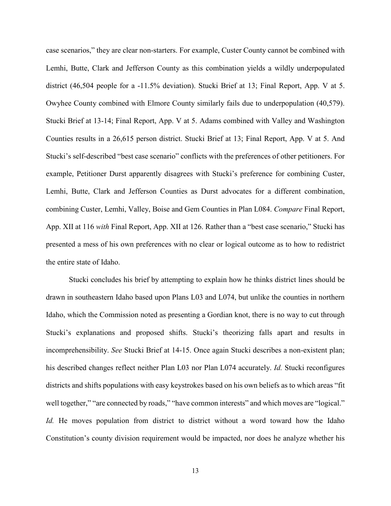case scenarios," they are clear non-starters. For example, Custer County cannot be combined with Lemhi, Butte, Clark and Jefferson County as this combination yields a wildly underpopulated district (46,504 people for a -11.5% deviation). Stucki Brief at 13; Final Report, App. V at 5. Owyhee County combined with Elmore County similarly fails due to underpopulation (40,579). Stucki Brief at 13-14; Final Report, App. V at 5. Adams combined with Valley and Washington Counties results in a 26,615 person district. Stucki Brief at 13; Final Report, App. V at 5. And Stucki's self-described "best case scenario" conflicts with the preferences of other petitioners. For example, Petitioner Durst apparently disagrees with Stucki's preference for combining Custer, Lemhi, Butte, Clark and Jefferson Counties as Durst advocates for a different combination, combining Custer, Lemhi, Valley, Boise and Gem Counties in Plan L084. *Compare* Final Report, App. XII at 116 *with* Final Report, App. XII at 126. Rather than a "best case scenario," Stucki has presented a mess of his own preferences with no clear or logical outcome as to how to redistrict the entire state of Idaho.

Stucki concludes his brief by attempting to explain how he thinks district lines should be drawn in southeastern Idaho based upon Plans L03 and L074, but unlike the counties in northern Idaho, which the Commission noted as presenting a Gordian knot, there is no way to cut through Stucki's explanations and proposed shifts. Stucki's theorizing falls apart and results in incomprehensibility. *See* Stucki Brief at 14-15. Once again Stucki describes a non-existent plan; his described changes reflect neither Plan L03 nor Plan L074 accurately. *Id.* Stucki reconfigures districts and shifts populations with easy keystrokes based on his own beliefs as to which areas "fit well together," "are connected by roads," "have common interests" and which moves are "logical." *Id.* He moves population from district to district without a word toward how the Idaho Constitution's county division requirement would be impacted, nor does he analyze whether his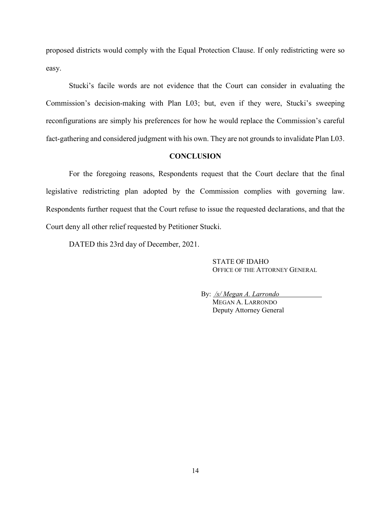proposed districts would comply with the Equal Protection Clause. If only redistricting were so easy.

Stucki's facile words are not evidence that the Court can consider in evaluating the Commission's decision-making with Plan L03; but, even if they were, Stucki's sweeping reconfigurations are simply his preferences for how he would replace the Commission's careful fact-gathering and considered judgment with his own. They are not grounds to invalidate Plan L03.

### **CONCLUSION**

For the foregoing reasons, Respondents request that the Court declare that the final legislative redistricting plan adopted by the Commission complies with governing law. Respondents further request that the Court refuse to issue the requested declarations, and that the Court deny all other relief requested by Petitioner Stucki.

DATED this 23rd day of December, 2021.

STATE OF IDAHO OFFICE OF THE ATTORNEY GENERAL

By: */s/ Megan A. Larrondo* MEGAN A. LARRONDO Deputy Attorney General